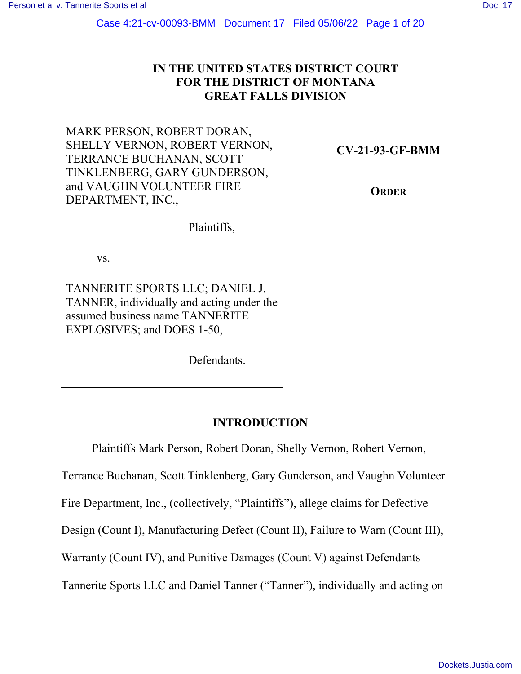# **IN THE UNITED STATES DISTRICT COURT FOR THE DISTRICT OF MONTANA GREAT FALLS DIVISION**

MARK PERSON, ROBERT DORAN, SHELLY VERNON, ROBERT VERNON, TERRANCE BUCHANAN, SCOTT TINKLENBERG, GARY GUNDERSON, and VAUGHN VOLUNTEER FIRE DEPARTMENT, INC.,

**CV-21-93-GF-BMM** 

**ORDER** 

Plaintiffs,

vs.

TANNERITE SPORTS LLC; DANIEL J. TANNER, individually and acting under the assumed business name TANNERITE EXPLOSIVES; and DOES 1-50,

Defendants.

# **INTRODUCTION**

Plaintiffs Mark Person, Robert Doran, Shelly Vernon, Robert Vernon,

Terrance Buchanan, Scott Tinklenberg, Gary Gunderson, and Vaughn Volunteer

Fire Department, Inc., (collectively, "Plaintiffs"), allege claims for Defective

Design (Count I), Manufacturing Defect (Count II), Failure to Warn (Count III),

Warranty (Count IV), and Punitive Damages (Count V) against Defendants

Tannerite Sports LLC and Daniel Tanner ("Tanner"), individually and acting on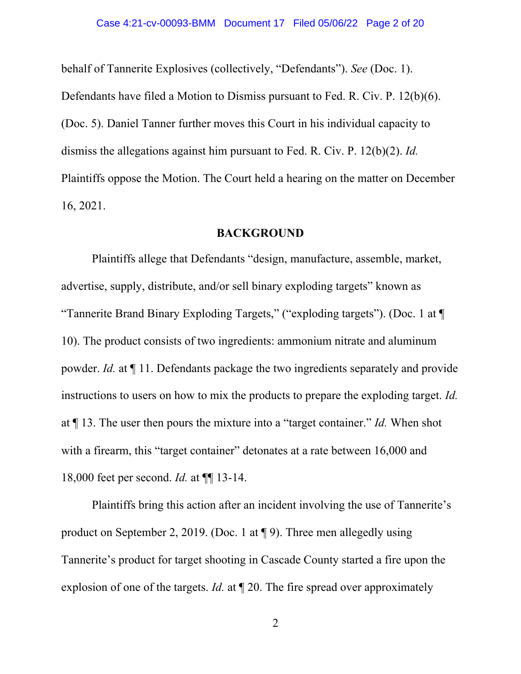behalf of Tannerite Explosives (collectively, "Defendants"). *See* (Doc. 1). Defendants have filed a Motion to Dismiss pursuant to Fed. R. Civ. P. 12(b)(6). (Doc. 5). Daniel Tanner further moves this Court in his individual capacity to dismiss the allegations against him pursuant to Fed. R. Civ. P. 12(b)(2). *Id.* Plaintiffs oppose the Motion. The Court held a hearing on the matter on December 16, 2021.

### **BACKGROUND**

Plaintiffs allege that Defendants "design, manufacture, assemble, market, advertise, supply, distribute, and/or sell binary exploding targets" known as "Tannerite Brand Binary Exploding Targets," ("exploding targets"). (Doc. 1 at ¶ 10). The product consists of two ingredients: ammonium nitrate and aluminum powder. *Id.* at ¶ 11. Defendants package the two ingredients separately and provide instructions to users on how to mix the products to prepare the exploding target. *Id.* at ¶ 13. The user then pours the mixture into a "target container." *Id.* When shot with a firearm, this "target container" detonates at a rate between 16,000 and 18,000 feet per second. *Id.* at ¶¶ 13-14.

Plaintiffs bring this action after an incident involving the use of Tannerite's product on September 2, 2019. (Doc. 1 at ¶ 9). Three men allegedly using Tannerite's product for target shooting in Cascade County started a fire upon the explosion of one of the targets. *Id.* at ¶ 20. The fire spread over approximately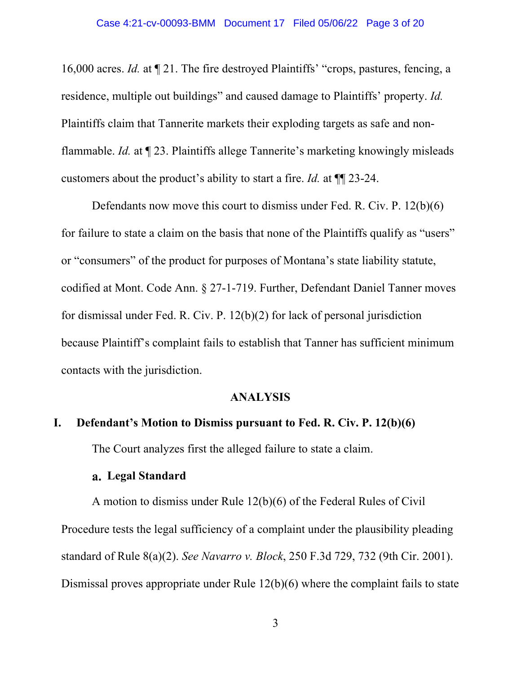16,000 acres. *Id.* at ¶ 21. The fire destroyed Plaintiffs' "crops, pastures, fencing, a residence, multiple out buildings" and caused damage to Plaintiffs' property. *Id.* Plaintiffs claim that Tannerite markets their exploding targets as safe and nonflammable. *Id.* at ¶ 23. Plaintiffs allege Tannerite's marketing knowingly misleads customers about the product's ability to start a fire. *Id.* at ¶¶ 23-24.

Defendants now move this court to dismiss under Fed. R. Civ. P. 12(b)(6) for failure to state a claim on the basis that none of the Plaintiffs qualify as "users" or "consumers" of the product for purposes of Montana's state liability statute, codified at Mont. Code Ann. § 27-1-719. Further, Defendant Daniel Tanner moves for dismissal under Fed. R. Civ. P. 12(b)(2) for lack of personal jurisdiction because Plaintiff's complaint fails to establish that Tanner has sufficient minimum contacts with the jurisdiction.

### **ANALYSIS**

## **I. Defendant's Motion to Dismiss pursuant to Fed. R. Civ. P. 12(b)(6)**

The Court analyzes first the alleged failure to state a claim.

## **Legal Standard**

A motion to dismiss under Rule 12(b)(6) of the Federal Rules of Civil Procedure tests the legal sufficiency of a complaint under the plausibility pleading standard of Rule 8(a)(2). *See Navarro v. Block*, 250 F.3d 729, 732 (9th Cir. 2001). Dismissal proves appropriate under Rule 12(b)(6) where the complaint fails to state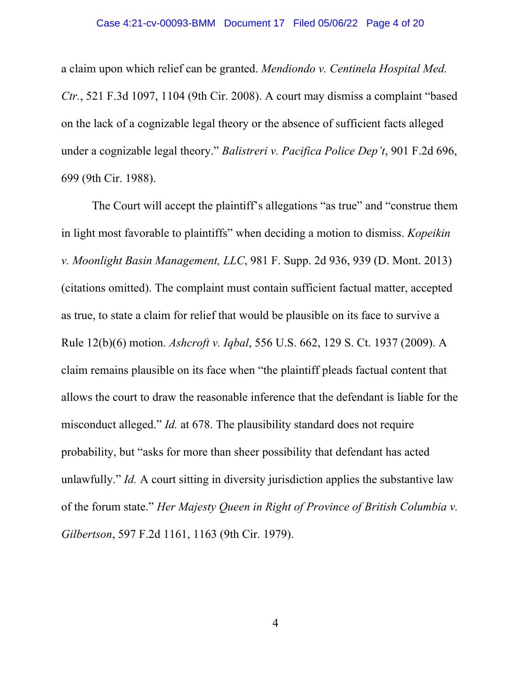#### Case 4:21-cv-00093-BMM Document 17 Filed 05/06/22 Page 4 of 20

a claim upon which relief can be granted. *Mendiondo v. Centinela Hospital Med. Ctr.*, 521 F.3d 1097, 1104 (9th Cir. 2008). A court may dismiss a complaint "based on the lack of a cognizable legal theory or the absence of sufficient facts alleged under a cognizable legal theory." *Balistreri v. Pacifica Police Dep't*, 901 F.2d 696, 699 (9th Cir. 1988).

The Court will accept the plaintiff's allegations "as true" and "construe them in light most favorable to plaintiffs" when deciding a motion to dismiss. *Kopeikin v. Moonlight Basin Management, LLC*, 981 F. Supp. 2d 936, 939 (D. Mont. 2013) (citations omitted). The complaint must contain sufficient factual matter, accepted as true, to state a claim for relief that would be plausible on its face to survive a Rule 12(b)(6) motion. *Ashcroft v. Iqbal*, 556 U.S. 662, 129 S. Ct. 1937 (2009). A claim remains plausible on its face when "the plaintiff pleads factual content that allows the court to draw the reasonable inference that the defendant is liable for the misconduct alleged." *Id.* at 678. The plausibility standard does not require probability, but "asks for more than sheer possibility that defendant has acted unlawfully." *Id.* A court sitting in diversity jurisdiction applies the substantive law of the forum state." *Her Majesty Queen in Right of Province of British Columbia v. Gilbertson*, 597 F.2d 1161, 1163 (9th Cir. 1979).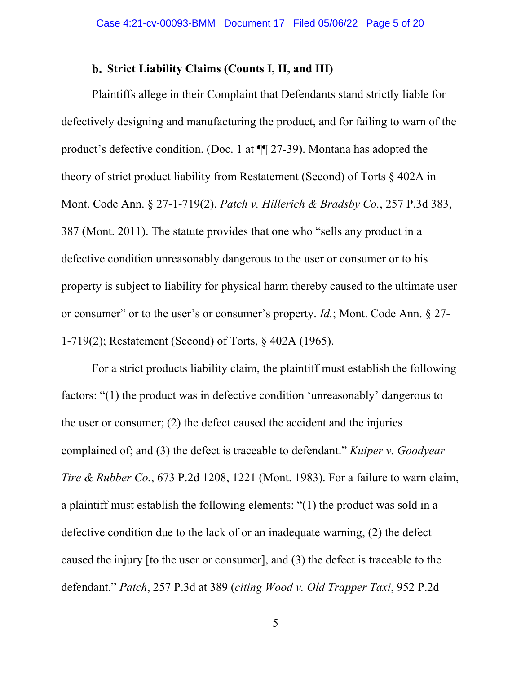## **Strict Liability Claims (Counts I, II, and III)**

Plaintiffs allege in their Complaint that Defendants stand strictly liable for defectively designing and manufacturing the product, and for failing to warn of the product's defective condition. (Doc. 1 at ¶¶ 27-39). Montana has adopted the theory of strict product liability from Restatement (Second) of Torts § 402A in Mont. Code Ann. § 27-1-719(2). *Patch v. Hillerich & Bradsby Co.*, 257 P.3d 383, 387 (Mont. 2011). The statute provides that one who "sells any product in a defective condition unreasonably dangerous to the user or consumer or to his property is subject to liability for physical harm thereby caused to the ultimate user or consumer" or to the user's or consumer's property. *Id.*; Mont. Code Ann. § 27- 1-719(2); Restatement (Second) of Torts, § 402A (1965).

For a strict products liability claim, the plaintiff must establish the following factors: "(1) the product was in defective condition 'unreasonably' dangerous to the user or consumer; (2) the defect caused the accident and the injuries complained of; and (3) the defect is traceable to defendant." *Kuiper v. Goodyear Tire & Rubber Co.*, 673 P.2d 1208, 1221 (Mont. 1983). For a failure to warn claim, a plaintiff must establish the following elements: "(1) the product was sold in a defective condition due to the lack of or an inadequate warning, (2) the defect caused the injury [to the user or consumer], and (3) the defect is traceable to the defendant." *Patch*, 257 P.3d at 389 (*citing Wood v. Old Trapper Taxi*, 952 P.2d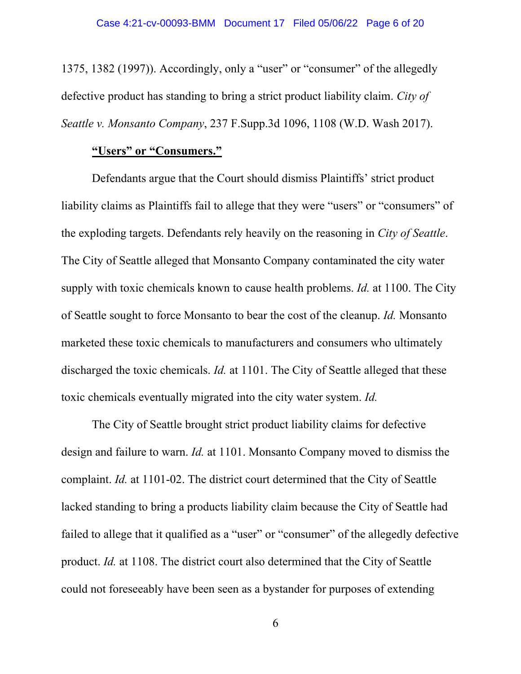1375, 1382 (1997)). Accordingly, only a "user" or "consumer" of the allegedly defective product has standing to bring a strict product liability claim. *City of Seattle v. Monsanto Company*, 237 F.Supp.3d 1096, 1108 (W.D. Wash 2017).

## **"Users" or "Consumers."**

Defendants argue that the Court should dismiss Plaintiffs' strict product liability claims as Plaintiffs fail to allege that they were "users" or "consumers" of the exploding targets. Defendants rely heavily on the reasoning in *City of Seattle*. The City of Seattle alleged that Monsanto Company contaminated the city water supply with toxic chemicals known to cause health problems. *Id.* at 1100. The City of Seattle sought to force Monsanto to bear the cost of the cleanup. *Id.* Monsanto marketed these toxic chemicals to manufacturers and consumers who ultimately discharged the toxic chemicals. *Id.* at 1101. The City of Seattle alleged that these toxic chemicals eventually migrated into the city water system. *Id.*

The City of Seattle brought strict product liability claims for defective design and failure to warn. *Id.* at 1101. Monsanto Company moved to dismiss the complaint. *Id.* at 1101-02. The district court determined that the City of Seattle lacked standing to bring a products liability claim because the City of Seattle had failed to allege that it qualified as a "user" or "consumer" of the allegedly defective product. *Id.* at 1108. The district court also determined that the City of Seattle could not foreseeably have been seen as a bystander for purposes of extending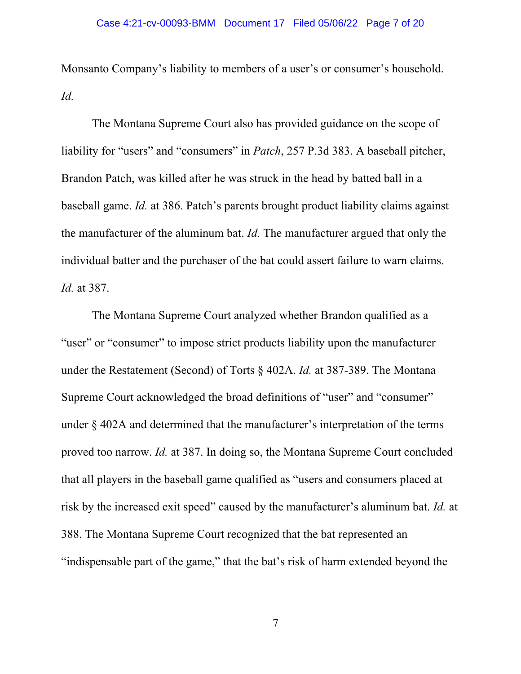Monsanto Company's liability to members of a user's or consumer's household. *Id.*

The Montana Supreme Court also has provided guidance on the scope of liability for "users" and "consumers" in *Patch*, 257 P.3d 383. A baseball pitcher, Brandon Patch, was killed after he was struck in the head by batted ball in a baseball game. *Id.* at 386. Patch's parents brought product liability claims against the manufacturer of the aluminum bat. *Id.* The manufacturer argued that only the individual batter and the purchaser of the bat could assert failure to warn claims. *Id.* at 387.

The Montana Supreme Court analyzed whether Brandon qualified as a "user" or "consumer" to impose strict products liability upon the manufacturer under the Restatement (Second) of Torts § 402A. *Id.* at 387-389. The Montana Supreme Court acknowledged the broad definitions of "user" and "consumer" under § 402A and determined that the manufacturer's interpretation of the terms proved too narrow. *Id.* at 387. In doing so, the Montana Supreme Court concluded that all players in the baseball game qualified as "users and consumers placed at risk by the increased exit speed" caused by the manufacturer's aluminum bat. *Id.* at 388. The Montana Supreme Court recognized that the bat represented an "indispensable part of the game," that the bat's risk of harm extended beyond the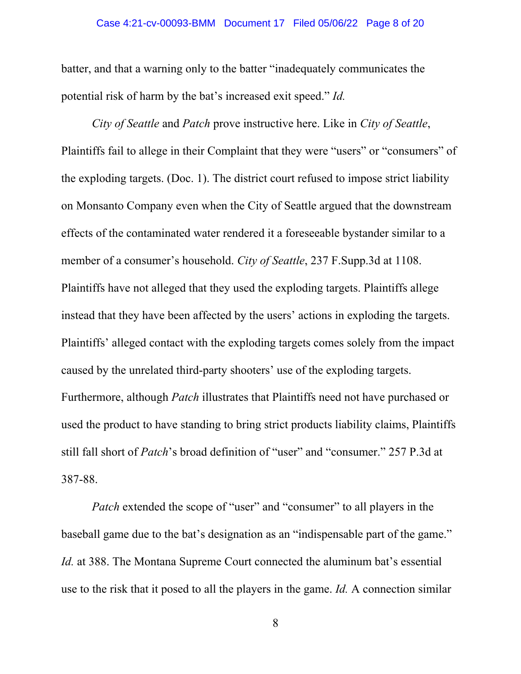#### Case 4:21-cv-00093-BMM Document 17 Filed 05/06/22 Page 8 of 20

batter, and that a warning only to the batter "inadequately communicates the potential risk of harm by the bat's increased exit speed." *Id.*

*City of Seattle* and *Patch* prove instructive here. Like in *City of Seattle*, Plaintiffs fail to allege in their Complaint that they were "users" or "consumers" of the exploding targets. (Doc. 1). The district court refused to impose strict liability on Monsanto Company even when the City of Seattle argued that the downstream effects of the contaminated water rendered it a foreseeable bystander similar to a member of a consumer's household. *City of Seattle*, 237 F.Supp.3d at 1108. Plaintiffs have not alleged that they used the exploding targets. Plaintiffs allege instead that they have been affected by the users' actions in exploding the targets. Plaintiffs' alleged contact with the exploding targets comes solely from the impact caused by the unrelated third-party shooters' use of the exploding targets. Furthermore, although *Patch* illustrates that Plaintiffs need not have purchased or used the product to have standing to bring strict products liability claims, Plaintiffs still fall short of *Patch*'s broad definition of "user" and "consumer." 257 P.3d at 387-88.

*Patch* extended the scope of "user" and "consumer" to all players in the baseball game due to the bat's designation as an "indispensable part of the game." *Id.* at 388. The Montana Supreme Court connected the aluminum bat's essential use to the risk that it posed to all the players in the game. *Id.* A connection similar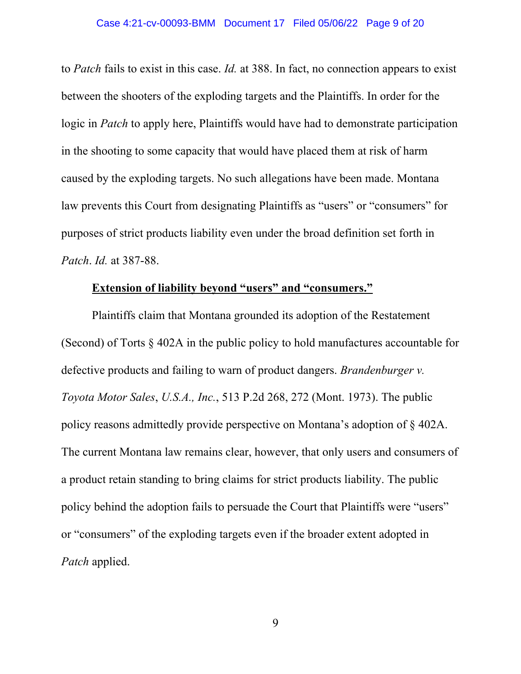to *Patch* fails to exist in this case. *Id.* at 388. In fact, no connection appears to exist between the shooters of the exploding targets and the Plaintiffs. In order for the logic in *Patch* to apply here, Plaintiffs would have had to demonstrate participation in the shooting to some capacity that would have placed them at risk of harm caused by the exploding targets. No such allegations have been made. Montana law prevents this Court from designating Plaintiffs as "users" or "consumers" for purposes of strict products liability even under the broad definition set forth in *Patch*. *Id.* at 387-88.

# **Extension of liability beyond "users" and "consumers."**

Plaintiffs claim that Montana grounded its adoption of the Restatement (Second) of Torts § 402A in the public policy to hold manufactures accountable for defective products and failing to warn of product dangers. *Brandenburger v. Toyota Motor Sales*, *U.S.A., Inc.*, 513 P.2d 268, 272 (Mont. 1973). The public policy reasons admittedly provide perspective on Montana's adoption of § 402A. The current Montana law remains clear, however, that only users and consumers of a product retain standing to bring claims for strict products liability. The public policy behind the adoption fails to persuade the Court that Plaintiffs were "users" or "consumers" of the exploding targets even if the broader extent adopted in *Patch* applied.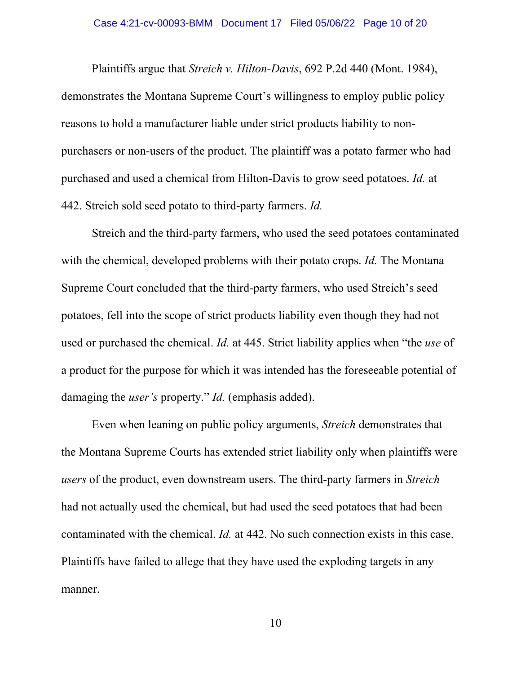Plaintiffs argue that *Streich v. Hilton-Davis*, 692 P.2d 440 (Mont. 1984), demonstrates the Montana Supreme Court's willingness to employ public policy reasons to hold a manufacturer liable under strict products liability to nonpurchasers or non-users of the product. The plaintiff was a potato farmer who had purchased and used a chemical from Hilton-Davis to grow seed potatoes. *Id.* at 442. Streich sold seed potato to third-party farmers. *Id.*

Streich and the third-party farmers, who used the seed potatoes contaminated with the chemical, developed problems with their potato crops. *Id.* The Montana Supreme Court concluded that the third-party farmers, who used Streich's seed potatoes, fell into the scope of strict products liability even though they had not used or purchased the chemical. *Id.* at 445. Strict liability applies when "the *use* of a product for the purpose for which it was intended has the foreseeable potential of damaging the *user's* property." *Id.* (emphasis added).

Even when leaning on public policy arguments, *Streich* demonstrates that the Montana Supreme Courts has extended strict liability only when plaintiffs were *users* of the product, even downstream users. The third-party farmers in *Streich* had not actually used the chemical, but had used the seed potatoes that had been contaminated with the chemical. *Id.* at 442. No such connection exists in this case. Plaintiffs have failed to allege that they have used the exploding targets in any manner.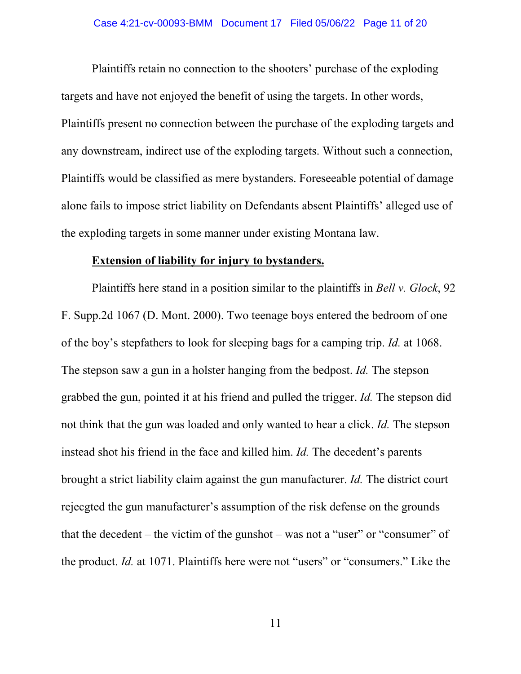Plaintiffs retain no connection to the shooters' purchase of the exploding targets and have not enjoyed the benefit of using the targets. In other words, Plaintiffs present no connection between the purchase of the exploding targets and any downstream, indirect use of the exploding targets. Without such a connection, Plaintiffs would be classified as mere bystanders. Foreseeable potential of damage alone fails to impose strict liability on Defendants absent Plaintiffs' alleged use of the exploding targets in some manner under existing Montana law.

#### **Extension of liability for injury to bystanders.**

Plaintiffs here stand in a position similar to the plaintiffs in *Bell v. Glock*, 92 F. Supp.2d 1067 (D. Mont. 2000). Two teenage boys entered the bedroom of one of the boy's stepfathers to look for sleeping bags for a camping trip. *Id.* at 1068. The stepson saw a gun in a holster hanging from the bedpost. *Id.* The stepson grabbed the gun, pointed it at his friend and pulled the trigger. *Id.* The stepson did not think that the gun was loaded and only wanted to hear a click. *Id.* The stepson instead shot his friend in the face and killed him. *Id.* The decedent's parents brought a strict liability claim against the gun manufacturer. *Id.* The district court rejecgted the gun manufacturer's assumption of the risk defense on the grounds that the decedent – the victim of the gunshot – was not a "user" or "consumer" of the product. *Id.* at 1071. Plaintiffs here were not "users" or "consumers." Like the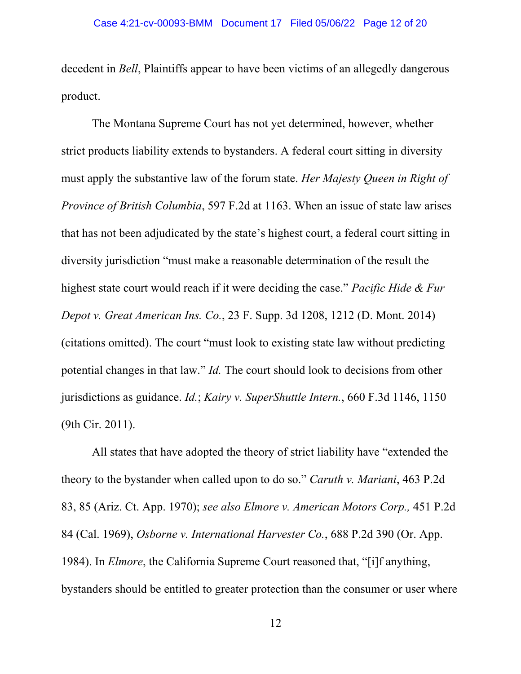decedent in *Bell*, Plaintiffs appear to have been victims of an allegedly dangerous product.

The Montana Supreme Court has not yet determined, however, whether strict products liability extends to bystanders. A federal court sitting in diversity must apply the substantive law of the forum state. *Her Majesty Queen in Right of Province of British Columbia*, 597 F.2d at 1163. When an issue of state law arises that has not been adjudicated by the state's highest court, a federal court sitting in diversity jurisdiction "must make a reasonable determination of the result the highest state court would reach if it were deciding the case." *Pacific Hide & Fur Depot v. Great American Ins. Co.*, 23 F. Supp. 3d 1208, 1212 (D. Mont. 2014) (citations omitted). The court "must look to existing state law without predicting potential changes in that law." *Id.* The court should look to decisions from other jurisdictions as guidance. *Id.*; *Kairy v. SuperShuttle Intern.*, 660 F.3d 1146, 1150 (9th Cir. 2011).

All states that have adopted the theory of strict liability have "extended the theory to the bystander when called upon to do so." *Caruth v. Mariani*, 463 P.2d 83, 85 (Ariz. Ct. App. 1970); *see also Elmore v. American Motors Corp.,* 451 P.2d 84 (Cal. 1969), *Osborne v. International Harvester Co.*, 688 P.2d 390 (Or. App. 1984). In *Elmore*, the California Supreme Court reasoned that, "[i]f anything, bystanders should be entitled to greater protection than the consumer or user where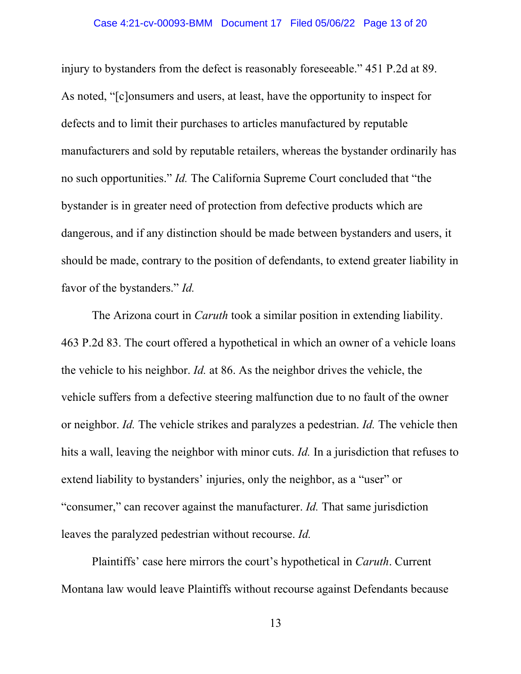#### Case 4:21-cv-00093-BMM Document 17 Filed 05/06/22 Page 13 of 20

injury to bystanders from the defect is reasonably foreseeable." 451 P.2d at 89. As noted, "[c]onsumers and users, at least, have the opportunity to inspect for defects and to limit their purchases to articles manufactured by reputable manufacturers and sold by reputable retailers, whereas the bystander ordinarily has no such opportunities." *Id.* The California Supreme Court concluded that "the bystander is in greater need of protection from defective products which are dangerous, and if any distinction should be made between bystanders and users, it should be made, contrary to the position of defendants, to extend greater liability in favor of the bystanders." *Id.*

 The Arizona court in *Caruth* took a similar position in extending liability. 463 P.2d 83. The court offered a hypothetical in which an owner of a vehicle loans the vehicle to his neighbor. *Id.* at 86. As the neighbor drives the vehicle, the vehicle suffers from a defective steering malfunction due to no fault of the owner or neighbor. *Id.* The vehicle strikes and paralyzes a pedestrian. *Id.* The vehicle then hits a wall, leaving the neighbor with minor cuts. *Id.* In a jurisdiction that refuses to extend liability to bystanders' injuries, only the neighbor, as a "user" or "consumer," can recover against the manufacturer. *Id.* That same jurisdiction leaves the paralyzed pedestrian without recourse. *Id.*

 Plaintiffs' case here mirrors the court's hypothetical in *Caruth*. Current Montana law would leave Plaintiffs without recourse against Defendants because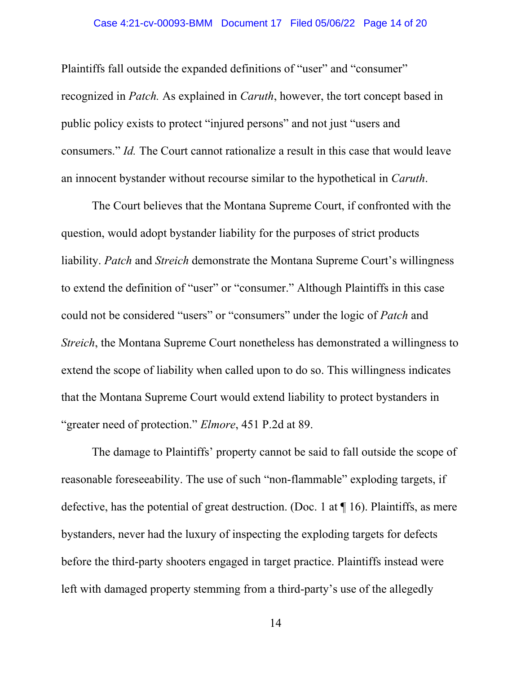#### Case 4:21-cv-00093-BMM Document 17 Filed 05/06/22 Page 14 of 20

Plaintiffs fall outside the expanded definitions of "user" and "consumer" recognized in *Patch.* As explained in *Caruth*, however, the tort concept based in public policy exists to protect "injured persons" and not just "users and consumers." *Id.* The Court cannot rationalize a result in this case that would leave an innocent bystander without recourse similar to the hypothetical in *Caruth*.

The Court believes that the Montana Supreme Court, if confronted with the question, would adopt bystander liability for the purposes of strict products liability. *Patch* and *Streich* demonstrate the Montana Supreme Court's willingness to extend the definition of "user" or "consumer." Although Plaintiffs in this case could not be considered "users" or "consumers" under the logic of *Patch* and *Streich*, the Montana Supreme Court nonetheless has demonstrated a willingness to extend the scope of liability when called upon to do so. This willingness indicates that the Montana Supreme Court would extend liability to protect bystanders in "greater need of protection." *Elmore*, 451 P.2d at 89.

The damage to Plaintiffs' property cannot be said to fall outside the scope of reasonable foreseeability. The use of such "non-flammable" exploding targets, if defective, has the potential of great destruction. (Doc. 1 at  $\P$  16). Plaintiffs, as mere bystanders, never had the luxury of inspecting the exploding targets for defects before the third-party shooters engaged in target practice. Plaintiffs instead were left with damaged property stemming from a third-party's use of the allegedly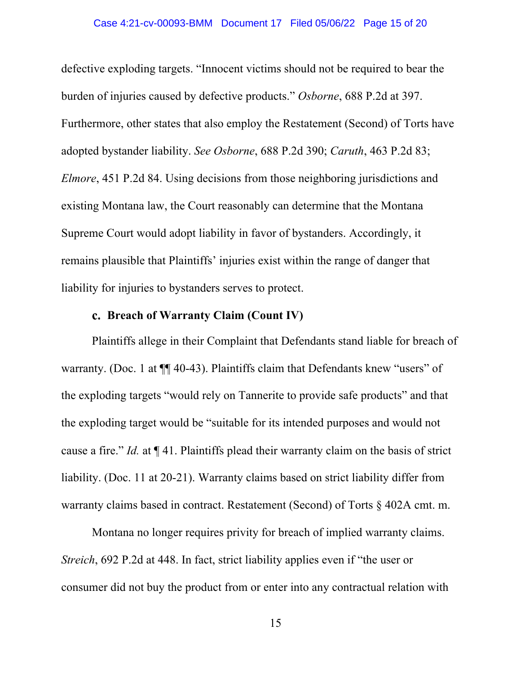defective exploding targets. "Innocent victims should not be required to bear the burden of injuries caused by defective products." *Osborne*, 688 P.2d at 397. Furthermore, other states that also employ the Restatement (Second) of Torts have adopted bystander liability. *See Osborne*, 688 P.2d 390; *Caruth*, 463 P.2d 83; *Elmore*, 451 P.2d 84. Using decisions from those neighboring jurisdictions and existing Montana law, the Court reasonably can determine that the Montana Supreme Court would adopt liability in favor of bystanders. Accordingly, it remains plausible that Plaintiffs' injuries exist within the range of danger that liability for injuries to bystanders serves to protect.

## **Breach of Warranty Claim (Count IV)**

Plaintiffs allege in their Complaint that Defendants stand liable for breach of warranty. (Doc. 1 at  $\P$  40-43). Plaintiffs claim that Defendants knew "users" of the exploding targets "would rely on Tannerite to provide safe products" and that the exploding target would be "suitable for its intended purposes and would not cause a fire." *Id.* at ¶ 41. Plaintiffs plead their warranty claim on the basis of strict liability. (Doc. 11 at 20-21). Warranty claims based on strict liability differ from warranty claims based in contract. Restatement (Second) of Torts § 402A cmt. m.

Montana no longer requires privity for breach of implied warranty claims. *Streich*, 692 P.2d at 448. In fact, strict liability applies even if "the user or consumer did not buy the product from or enter into any contractual relation with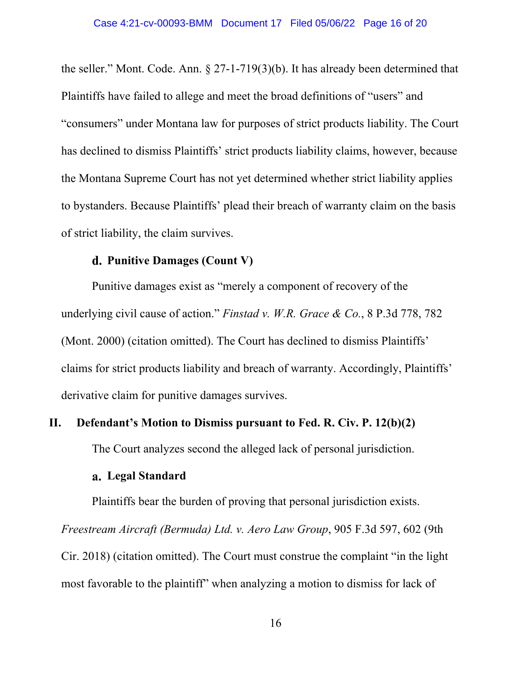the seller." Mont. Code. Ann. § 27-1-719(3)(b). It has already been determined that Plaintiffs have failed to allege and meet the broad definitions of "users" and "consumers" under Montana law for purposes of strict products liability. The Court has declined to dismiss Plaintiffs' strict products liability claims, however, because the Montana Supreme Court has not yet determined whether strict liability applies to bystanders. Because Plaintiffs' plead their breach of warranty claim on the basis of strict liability, the claim survives.

# **Punitive Damages (Count V)**

Punitive damages exist as "merely a component of recovery of the underlying civil cause of action." *Finstad v. W.R. Grace & Co.*, 8 P.3d 778, 782 (Mont. 2000) (citation omitted). The Court has declined to dismiss Plaintiffs' claims for strict products liability and breach of warranty. Accordingly, Plaintiffs' derivative claim for punitive damages survives.

## **II. Defendant's Motion to Dismiss pursuant to Fed. R. Civ. P. 12(b)(2)**

The Court analyzes second the alleged lack of personal jurisdiction.

### **Legal Standard**

Plaintiffs bear the burden of proving that personal jurisdiction exists.

*Freestream Aircraft (Bermuda) Ltd. v. Aero Law Group*, 905 F.3d 597, 602 (9th

Cir. 2018) (citation omitted). The Court must construe the complaint "in the light most favorable to the plaintiff" when analyzing a motion to dismiss for lack of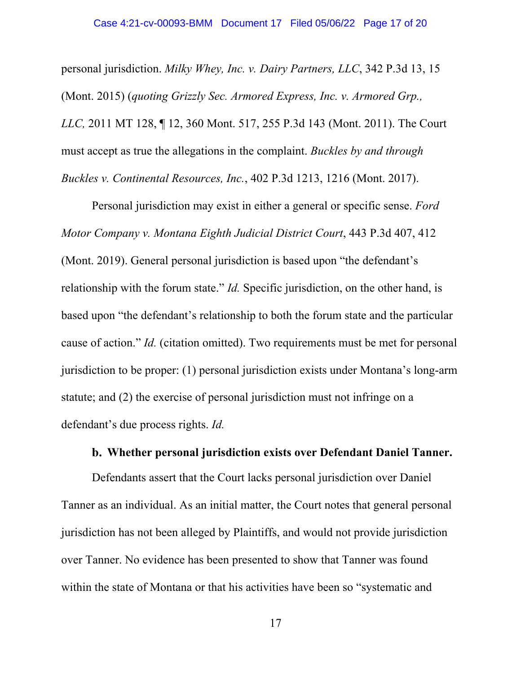personal jurisdiction. *Milky Whey, Inc. v. Dairy Partners, LLC*, 342 P.3d 13, 15 (Mont. 2015) (*quoting Grizzly Sec. Armored Express, Inc. v. Armored Grp., LLC,* 2011 MT 128, ¶ 12, 360 Mont. 517, 255 P.3d 143 (Mont. 2011). The Court must accept as true the allegations in the complaint. *Buckles by and through Buckles v. Continental Resources, Inc.*, 402 P.3d 1213, 1216 (Mont. 2017).

Personal jurisdiction may exist in either a general or specific sense. *Ford Motor Company v. Montana Eighth Judicial District Court*, 443 P.3d 407, 412 (Mont. 2019). General personal jurisdiction is based upon "the defendant's relationship with the forum state." *Id.* Specific jurisdiction, on the other hand, is based upon "the defendant's relationship to both the forum state and the particular cause of action." *Id.* (citation omitted). Two requirements must be met for personal jurisdiction to be proper: (1) personal jurisdiction exists under Montana's long-arm statute; and (2) the exercise of personal jurisdiction must not infringe on a defendant's due process rights. *Id.*

## **Whether personal jurisdiction exists over Defendant Daniel Tanner.**

Defendants assert that the Court lacks personal jurisdiction over Daniel Tanner as an individual. As an initial matter, the Court notes that general personal jurisdiction has not been alleged by Plaintiffs, and would not provide jurisdiction over Tanner. No evidence has been presented to show that Tanner was found within the state of Montana or that his activities have been so "systematic and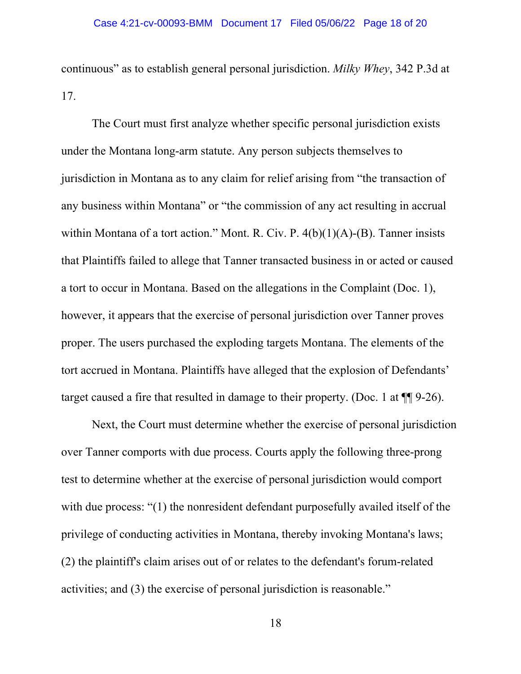continuous" as to establish general personal jurisdiction. *Milky Whey*, 342 P.3d at 17.

The Court must first analyze whether specific personal jurisdiction exists under the Montana long-arm statute. Any person subjects themselves to jurisdiction in Montana as to any claim for relief arising from "the transaction of any business within Montana" or "the commission of any act resulting in accrual within Montana of a tort action." Mont. R. Civ. P. 4(b)(1)(A)-(B). Tanner insists that Plaintiffs failed to allege that Tanner transacted business in or acted or caused a tort to occur in Montana. Based on the allegations in the Complaint (Doc. 1), however, it appears that the exercise of personal jurisdiction over Tanner proves proper. The users purchased the exploding targets Montana. The elements of the tort accrued in Montana. Plaintiffs have alleged that the explosion of Defendants' target caused a fire that resulted in damage to their property. (Doc. 1 at ¶¶ 9-26).

Next, the Court must determine whether the exercise of personal jurisdiction over Tanner comports with due process. Courts apply the following three-prong test to determine whether at the exercise of personal jurisdiction would comport with due process: "(1) the nonresident defendant purposefully availed itself of the privilege of conducting activities in Montana, thereby invoking Montana's laws; (2) the plaintiff's claim arises out of or relates to the defendant's forum-related activities; and (3) the exercise of personal jurisdiction is reasonable."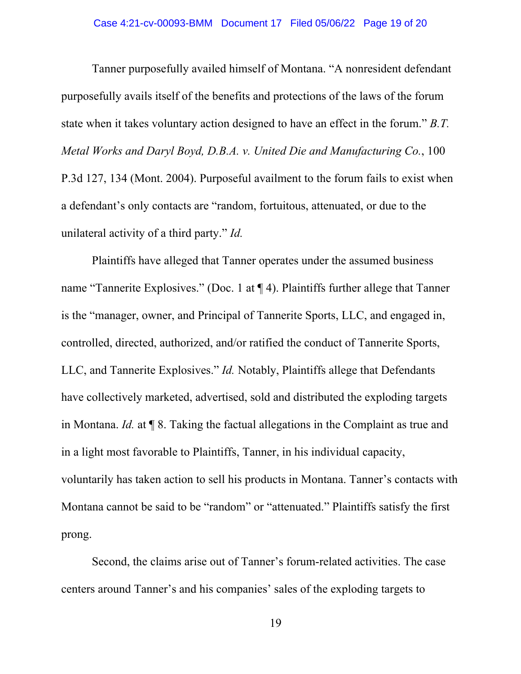Tanner purposefully availed himself of Montana. "A nonresident defendant purposefully avails itself of the benefits and protections of the laws of the forum state when it takes voluntary action designed to have an effect in the forum." *B.T. Metal Works and Daryl Boyd, D.B.A. v. United Die and Manufacturing Co.*, 100 P.3d 127, 134 (Mont. 2004). Purposeful availment to the forum fails to exist when a defendant's only contacts are "random, fortuitous, attenuated, or due to the unilateral activity of a third party." *Id.*

Plaintiffs have alleged that Tanner operates under the assumed business name "Tannerite Explosives." (Doc. 1 at ¶ 4). Plaintiffs further allege that Tanner is the "manager, owner, and Principal of Tannerite Sports, LLC, and engaged in, controlled, directed, authorized, and/or ratified the conduct of Tannerite Sports, LLC, and Tannerite Explosives." *Id.* Notably, Plaintiffs allege that Defendants have collectively marketed, advertised, sold and distributed the exploding targets in Montana. *Id.* at ¶ 8. Taking the factual allegations in the Complaint as true and in a light most favorable to Plaintiffs, Tanner, in his individual capacity, voluntarily has taken action to sell his products in Montana. Tanner's contacts with Montana cannot be said to be "random" or "attenuated." Plaintiffs satisfy the first prong.

Second, the claims arise out of Tanner's forum-related activities. The case centers around Tanner's and his companies' sales of the exploding targets to